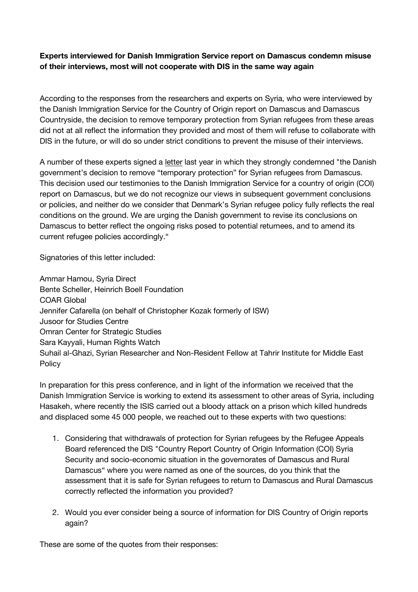## **Experts interviewed for Danish Immigration Service report on Damascus condemn misuse of their interviews, most will not cooperate with DIS in the same way again**

According to the responses from the researchers and experts on Syria, who were interviewed by the Danish Immigration Service for the Country of Origin report on Damascus and Damascus Countryside, the decision to remove temporary protection from Syrian refugees from these areas did not at all reflect the information they provided and most of them will refuse to collaborate with DIS in the future, or will do so under strict conditions to prevent the misuse of their interviews.

A number of these experts signed a letter last year in which they strongly condemned "the Danish government's decision to remove "temporary protection" for Syrian refugees from Damascus. This decision used our testimonies to the Danish Immigration Service for a country of origin (COI) report on Damascus, but we do not recognize our views in subsequent government conclusions or policies, and neither do we consider that Denmark's Syrian refugee policy fully reflects the real conditions on the ground. We are urging the Danish government to revise its conclusions on Damascus to better reflect the ongoing risks posed to potential returnees, and to amend its current refugee policies accordingly."

Signatories of this letter included:

Ammar Hamou, Syria Direct Bente Scheller, Heinrich Boell Foundation COAR Global Jennifer Cafarella (on behalf of Christopher Kozak formerly of ISW) Jusoor for Studies Centre Omran Center for Strategic Studies Sara Kayyali, Human Rights Watch Suhail al-Ghazi, Syrian Researcher and Non-Resident Fellow at Tahrir Institute for Middle East Policy

In preparation for this press conference, and in light of the information we received that the Danish Immigration Service is working to extend its assessment to other areas of Syria, including Hasakeh, where recently the ISIS carried out a bloody attack on a prison which killed hundreds and displaced some 45 000 people, we reached out to these experts with two questions:

- 1. Considering that withdrawals of protection for Syrian refugees by the Refugee Appeals Board referenced the DIS "Country Report Country of Origin Information (COI) Syria Security and socio-economic situation in the governorates of Damascus and Rural Damascus" where you were named as one of the sources, do you think that the assessment that it is safe for Syrian refugees to return to Damascus and Rural Damascus correctly reflected the information you provided?
- 2. Would you ever consider being a source of information for DIS Country of Origin reports again?

These are some of the quotes from their responses: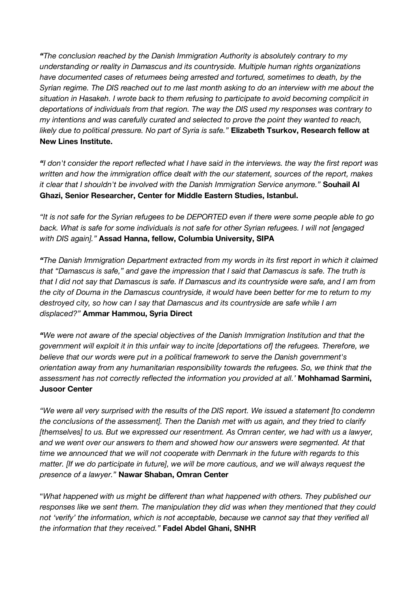*"The conclusion reached by the Danish Immigration Authority is absolutely contrary to my understanding or reality in Damascus and its countryside. Multiple human rights organizations have documented cases of returnees being arrested and tortured, sometimes to death, by the* Syrian regime. The DIS reached out to me last month asking to do an interview with me about the *situation in Hasakeh. I wrote back to them refusing to participate to avoid becoming complicit in deportations of individuals from that region. The way the DIS used my responses was contrary to my intentions and was carefully curated and selected to prove the point they wanted to reach, likely due to political pressure. No part of Syria is safe."* **Elizabeth Tsurkov, Research fellow at New Lines Institute.**

"I don't consider the report reflected what I have said in the interviews, the way the first report was *written and how the immigration office dealt with the our statement, sources of the report, makes it clear that I shouldn't be involved with the Danish Immigration Service anymore."* **Souhail Al Ghazi, Senior Researcher, Center for Middle Eastern Studies, Istanbul.**

"It is not safe for the Syrian refugees to be DEPORTED even if there were some people able to go *back. What is safe for some individuals is not safe for other Syrian refugees. I will not [engaged with DIS again]."* **Assad Hanna, fellow, Columbia University, SIPA**

*"The Danish Immigration Department extracted from my words in its first report in which it claimed that "Damascus is safe," and gave the impression that I said that Damascus is safe. The truth is* that I did not say that Damascus is safe. If Damascus and its countryside were safe, and I am from the city of Douma in the Damascus countryside, it would have been better for me to return to my *destroyed city, so how can I say that Damascus and its countryside are safe while I am displaced?"* **Ammar Hammou, Syria Direct**

*"We were not aware of the special objectives of the Danish Immigration Institution and that the government will exploit it in this unfair way to incite [deportations of] the refugees. Therefore, we believe that our words were put in a political framework to serve the Danish government's orientation away from any humanitarian responsibility towards the refugees. So, we think that the assessment has not correctly reflected the information you provided at all.'* **Mohhamad Sarmini, Jusoor Center**

*"We were all very surprised with the results of the DIS report. We issued a statement [to condemn the conclusions of the assessment]. Then the Danish met with us again, and they tried to clarify [themselves] to us. But we expressed our resentment. As Omran center, we had with us a lawyer, and we went over our answers to them and showed how our answers were segmented. At that time we announced that we will not cooperate with Denmark in the future with regards to this matter. [If we do participate in future], we will be more cautious, and we will always request the presence of a lawyer."* **Nawar Shaban, Omran Center**

"*What happened with us might be different than what happened with others. They published our responses like we sent them. The manipulation they did was when they mentioned that they could not 'verify' the information, which is not acceptable, because we cannot say that they verified all the information that they received."* **Fadel Abdel Ghani, SNHR**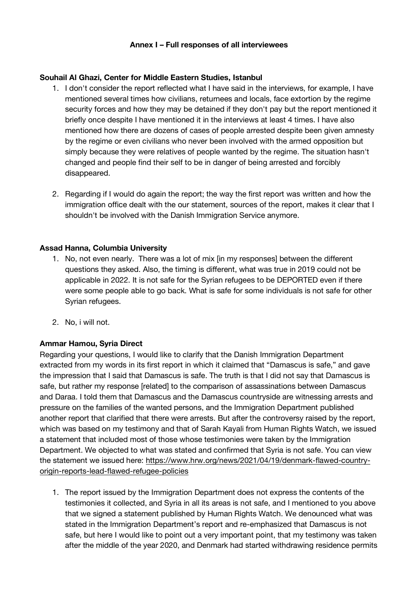## **Souhail Al Ghazi, Center for Middle Eastern Studies, Istanbul**

- 1. I don't consider the report reflected what I have said in the interviews, for example, I have mentioned several times how civilians, returnees and locals, face extortion by the regime security forces and how they may be detained if they don't pay but the report mentioned it briefly once despite I have mentioned it in the interviews at least 4 times. I have also mentioned how there are dozens of cases of people arrested despite been given amnesty by the regime or even civilians who never been involved with the armed opposition but simply because they were relatives of people wanted by the regime. The situation hasn't changed and people find their self to be in danger of being arrested and forcibly disappeared.
- 2. Regarding if I would do again the report; the way the first report was written and how the immigration office dealt with the our statement, sources of the report, makes it clear that I shouldn't be involved with the Danish Immigration Service anymore.

## **Assad Hanna, Columbia University**

- 1. No, not even nearly. There was a lot of mix [in my responses] between the different questions they asked. Also, the timing is different, what was true in 2019 could not be applicable in 2022. It is not safe for the Syrian refugees to be DEPORTED even if there were some people able to go back. What is safe for some individuals is not safe for other Syrian refugees.
- 2. No, i will not.

# **Ammar Hamou, Syria Direct**

Regarding your questions, I would like to clarify that the Danish Immigration Department extracted from my words in its first report in which it claimed that "Damascus is safe," and gave the impression that I said that Damascus is safe. The truth is that I did not say that Damascus is safe, but rather my response [related] to the comparison of assassinations between Damascus and Daraa. I told them that Damascus and the Damascus countryside are witnessing arrests and pressure on the families of the wanted persons, and the Immigration Department published another report that clarified that there were arrests. But after the controversy raised by the report, which was based on my testimony and that of Sarah Kayali from Human Rights Watch, we issued a statement that included most of those whose testimonies were taken by the Immigration Department. We objected to what was stated and confirmed that Syria is not safe. You can view the statement we issued here: https://www.hrw.org/news/2021/04/19/denmark-flawed-countryorigin-reports-lead-flawed-refugee-policies

1. The report issued by the Immigration Department does not express the contents of the testimonies it collected, and Syria in all its areas is not safe, and I mentioned to you above that we signed a statement published by Human Rights Watch. We denounced what was stated in the Immigration Department's report and re-emphasized that Damascus is not safe, but here I would like to point out a very important point, that my testimony was taken after the middle of the year 2020, and Denmark had started withdrawing residence permits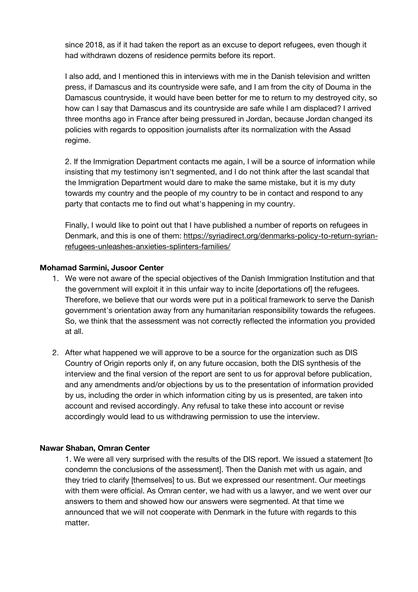since 2018, as if it had taken the report as an excuse to deport refugees, even though it had withdrawn dozens of residence permits before its report.

I also add, and I mentioned this in interviews with me in the Danish television and written press, if Damascus and its countryside were safe, and I am from the city of Douma in the Damascus countryside, it would have been better for me to return to my destroyed city, so how can I say that Damascus and its countryside are safe while I am displaced? I arrived three months ago in France after being pressured in Jordan, because Jordan changed its policies with regards to opposition journalists after its normalization with the Assad regime.

2. If the Immigration Department contacts me again, I will be a source of information while insisting that my testimony isn't segmented, and I do not think after the last scandal that the Immigration Department would dare to make the same mistake, but it is my duty towards my country and the people of my country to be in contact and respond to any party that contacts me to find out what's happening in my country.

Finally, I would like to point out that I have published a number of reports on refugees in Denmark, and this is one of them: https://syriadirect.org/denmarks-policy-to-return-syrianrefugees-unleashes-anxieties-splinters-families/

### **Mohamad Sarmini, Jusoor Center**

- 1. We were not aware of the special objectives of the Danish Immigration Institution and that the government will exploit it in this unfair way to incite [deportations of] the refugees. Therefore, we believe that our words were put in a political framework to serve the Danish government's orientation away from any humanitarian responsibility towards the refugees. So, we think that the assessment was not correctly reflected the information you provided at all.
- 2. After what happened we will approve to be a source for the organization such as DIS Country of Origin reports only if, on any future occasion, both the DIS synthesis of the interview and the final version of the report are sent to us for approval before publication, and any amendments and/or objections by us to the presentation of information provided by us, including the order in which information citing by us is presented, are taken into account and revised accordingly. Any refusal to take these into account or revise accordingly would lead to us withdrawing permission to use the interview.

#### **Nawar Shaban, Omran Center**

1. We were all very surprised with the results of the DIS report. We issued a statement [to condemn the conclusions of the assessment]. Then the Danish met with us again, and they tried to clarify [themselves] to us. But we expressed our resentment. Our meetings with them were official. As Omran center, we had with us a lawyer, and we went over our answers to them and showed how our answers were segmented. At that time we announced that we will not cooperate with Denmark in the future with regards to this matter.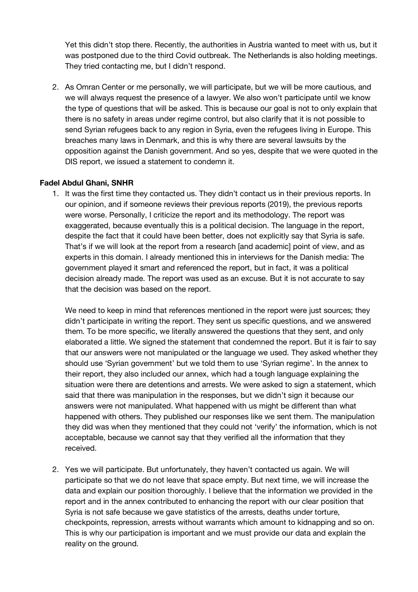Yet this didn't stop there. Recently, the authorities in Austria wanted to meet with us, but it was postponed due to the third Covid outbreak. The Netherlands is also holding meetings. They tried contacting me, but I didn't respond.

2. As Omran Center or me personally, we will participate, but we will be more cautious, and we will always request the presence of a lawyer. We also won't participate until we know the type of questions that will be asked. This is because our goal is not to only explain that there is no safety in areas under regime control, but also clarify that it is not possible to send Syrian refugees back to any region in Syria, even the refugees living in Europe. This breaches many laws in Denmark, and this is why there are several lawsuits by the opposition against the Danish government. And so yes, despite that we were quoted in the DIS report, we issued a statement to condemn it.

## **Fadel Abdul Ghani, SNHR**

1. It was the first time they contacted us. They didn't contact us in their previous reports. In our opinion, and if someone reviews their previous reports (2019), the previous reports were worse. Personally, I criticize the report and its methodology. The report was exaggerated, because eventually this is a political decision. The language in the report, despite the fact that it could have been better, does not explicitly say that Syria is safe. That's if we will look at the report from a research [and academic] point of view, and as experts in this domain. I already mentioned this in interviews for the Danish media: The government played it smart and referenced the report, but in fact, it was a political decision already made. The report was used as an excuse. But it is not accurate to say that the decision was based on the report.

We need to keep in mind that references mentioned in the report were just sources; they didn't participate in writing the report. They sent us specific questions, and we answered them. To be more specific, we literally answered the questions that they sent, and only elaborated a little. We signed the statement that condemned the report. But it is fair to say that our answers were not manipulated or the language we used. They asked whether they should use 'Syrian government' but we told them to use 'Syrian regime'. In the annex to their report, they also included our annex, which had a tough language explaining the situation were there are detentions and arrests. We were asked to sign a statement, which said that there was manipulation in the responses, but we didn't sign it because our answers were not manipulated. What happened with us might be different than what happened with others. They published our responses like we sent them. The manipulation they did was when they mentioned that they could not 'verify' the information, which is not acceptable, because we cannot say that they verified all the information that they received.

2. Yes we will participate. But unfortunately, they haven't contacted us again. We will participate so that we do not leave that space empty. But next time, we will increase the data and explain our position thoroughly. I believe that the information we provided in the report and in the annex contributed to enhancing the report with our clear position that Syria is not safe because we gave statistics of the arrests, deaths under torture, checkpoints, repression, arrests without warrants which amount to kidnapping and so on. This is why our participation is important and we must provide our data and explain the reality on the ground.